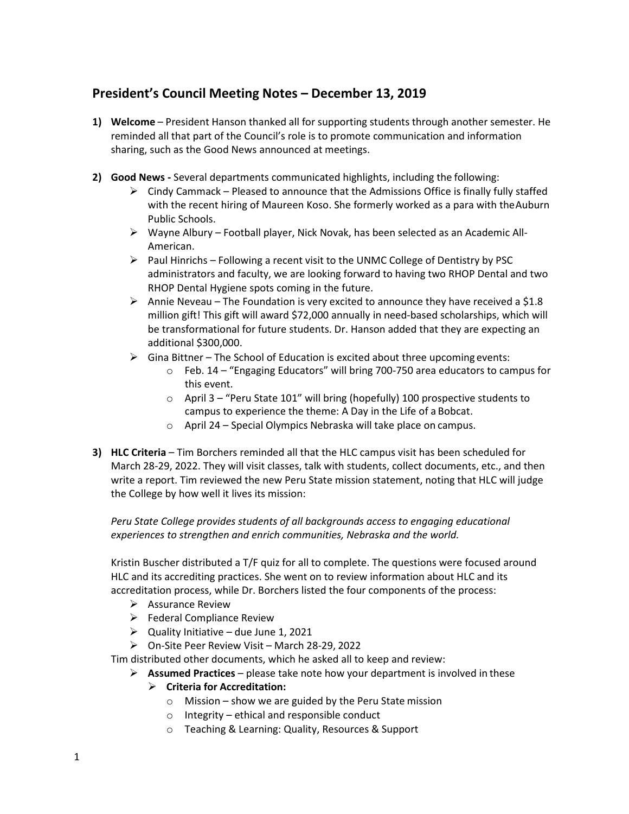## **President's Council Meeting Notes – December 13, 2019**

- **1) Welcome** President Hanson thanked all for supporting students through another semester. He reminded all that part of the Council's role is to promote communication and information sharing, such as the Good News announced at meetings.
- **2) Good News -** Several departments communicated highlights, including the following:
	- $\triangleright$  Cindy Cammack Pleased to announce that the Admissions Office is finally fully staffed with the recent hiring of Maureen Koso. She formerly worked as a para with theAuburn Public Schools.
	- $\triangleright$  Wayne Albury Football player, Nick Novak, has been selected as an Academic All-American.
	- $\triangleright$  Paul Hinrichs Following a recent visit to the UNMC College of Dentistry by PSC administrators and faculty, we are looking forward to having two RHOP Dental and two RHOP Dental Hygiene spots coming in the future.
	- Annie Neveau The Foundation is very excited to announce they have received a \$1.8 million gift! This gift will award \$72,000 annually in need-based scholarships, which will be transformational for future students. Dr. Hanson added that they are expecting an additional \$300,000.
	- $\triangleright$  Gina Bittner The School of Education is excited about three upcoming events:
		- o Feb. 14 "Engaging Educators" will bring 700-750 area educators to campus for this event.
		- o April 3 "Peru State 101" will bring (hopefully) 100 prospective students to campus to experience the theme: A Day in the Life of a Bobcat.
		- o April 24 Special Olympics Nebraska will take place on campus.
- **3) HLC Criteria**  Tim Borchers reminded all that the HLC campus visit has been scheduled for March 28-29, 2022. They will visit classes, talk with students, collect documents, etc., and then write a report. Tim reviewed the new Peru State mission statement, noting that HLC will judge the College by how well it lives its mission:

*Peru State College provides students of all backgrounds access to engaging educational experiences to strengthen and enrich communities, Nebraska and the world.*

Kristin Buscher distributed a T/F quiz for all to complete. The questions were focused around HLC and its accrediting practices. She went on to review information about HLC and its accreditation process, while Dr. Borchers listed the four components of the process:

- $\triangleright$  Assurance Review
- $\triangleright$  Federal Compliance Review
- $\triangleright$  Quality Initiative due June 1, 2021
- $\triangleright$  On-Site Peer Review Visit March 28-29, 2022

Tim distributed other documents, which he asked all to keep and review:

- Ø **Assumed Practices**  please take note how your department is involved in these
	- Ø **Criteria for Accreditation:**
		- o Mission show we are guided by the Peru State mission
		- o Integrity ethical and responsible conduct
		- o Teaching & Learning: Quality, Resources & Support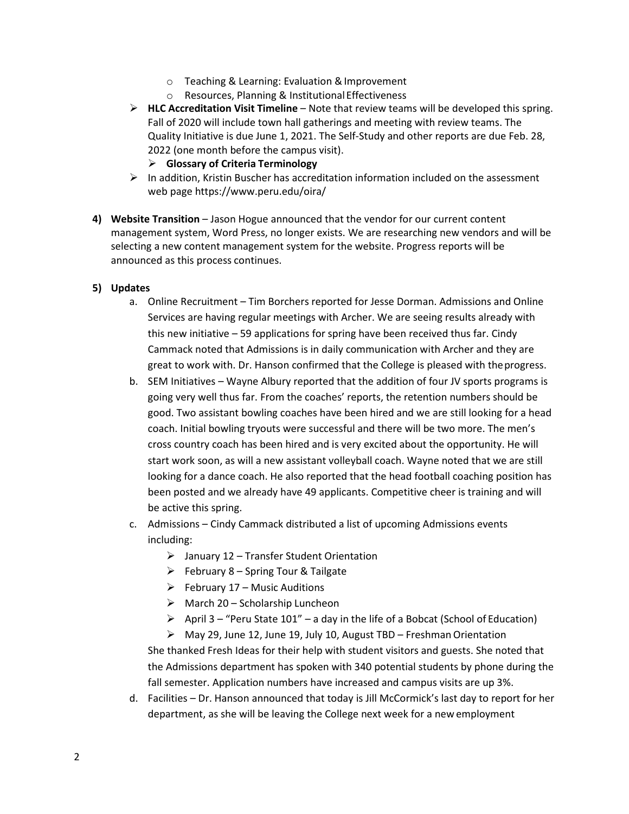- o Teaching & Learning: Evaluation &Improvement
- o Resources, Planning & Institutional Effectiveness
- Ø **HLC Accreditation Visit Timeline**  Note that review teams will be developed this spring. Fall of 2020 will include town hall gatherings and meeting with review teams. The Quality Initiative is due June 1, 2021. The Self-Study and other reports are due Feb. 28, 2022 (one month before the campus visit).
	- Ø **Glossary of Criteria Terminology**
- $\triangleright$  In addition, Kristin Buscher has accreditation information included on the assessment web page https://www.peru.edu/oira/
- **4) Website Transition**  Jason Hogue announced that the vendor for our current content management system, Word Press, no longer exists. We are researching new vendors and will be selecting a new content management system for the website. Progress reports will be announced as this process continues.

## **5) Updates**

- a. Online Recruitment Tim Borchers reported for Jesse Dorman. Admissions and Online Services are having regular meetings with Archer. We are seeing results already with this new initiative – 59 applications for spring have been received thus far. Cindy Cammack noted that Admissions is in daily communication with Archer and they are great to work with. Dr. Hanson confirmed that the College is pleased with theprogress.
- b. SEM Initiatives Wayne Albury reported that the addition of four JV sports programs is going very well thus far. From the coaches' reports, the retention numbers should be good. Two assistant bowling coaches have been hired and we are still looking for a head coach. Initial bowling tryouts were successful and there will be two more. The men's cross country coach has been hired and is very excited about the opportunity. He will start work soon, as will a new assistant volleyball coach. Wayne noted that we are still looking for a dance coach. He also reported that the head football coaching position has been posted and we already have 49 applicants. Competitive cheer is training and will be active this spring.
- c. Admissions Cindy Cammack distributed a list of upcoming Admissions events including:
	- $\triangleright$  January 12 Transfer Student Orientation
	- $\triangleright$  February 8 Spring Tour & Tailgate
	- $\triangleright$  February 17 Music Auditions
	- $\triangleright$  March 20 Scholarship Luncheon
	- $\triangleright$  April 3 "Peru State 101" a day in the life of a Bobcat (School of Education)
	- $\triangleright$  May 29, June 12, June 19, July 10, August TBD Freshman Orientation She thanked Fresh Ideas for their help with student visitors and guests. She noted that

the Admissions department has spoken with 340 potential students by phone during the fall semester. Application numbers have increased and campus visits are up 3%.

d. Facilities – Dr. Hanson announced that today is Jill McCormick's last day to report for her department, as she will be leaving the College next week for a new employment